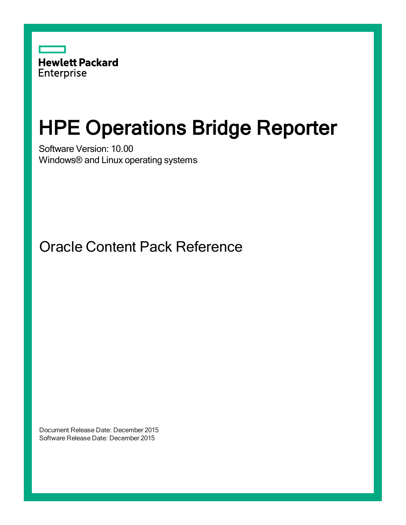

# HPE Operations Bridge Reporter

Software Version: 10.00 Windows® and Linux operating systems

Oracle Content Pack Reference

Document Release Date: December 2015 Software Release Date: December 2015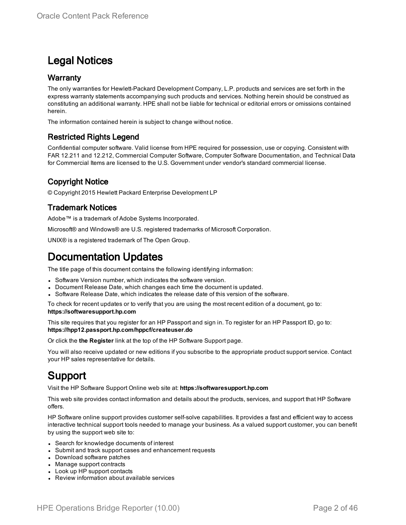### Legal Notices

#### **Warranty**

The only warranties for Hewlett-Packard Development Company, L.P. products and services are set forth in the express warranty statements accompanying such products and services. Nothing herein should be construed as constituting an additional warranty. HPE shall not be liable for technical or editorial errors or omissions contained herein.

The information contained herein is subject to change without notice.

#### Restricted Rights Legend

Confidential computer software. Valid license from HPE required for possession, use or copying. Consistent with FAR 12.211 and 12.212, Commercial Computer Software, Computer Software Documentation, and Technical Data for Commercial Items are licensed to the U.S. Government under vendor's standard commercial license.

#### Copyright Notice

© Copyright 2015 Hewlett Packard Enterprise Development LP

#### Trademark Notices

Adobe™ is a trademark of Adobe Systems Incorporated.

Microsoft® and Windows® are U.S. registered trademarks of Microsoft Corporation.

UNIX® is a registered trademark of The Open Group.

### Documentation Updates

The title page of this document contains the following identifying information:

- Software Version number, which indicates the software version.
- Document Release Date, which changes each time the document is updated.
- Software Release Date, which indicates the release date of this version of the software.

To check for recent updates or to verify that you are using the most recent edition of a document, go to: **https://softwaresupport.hp.com**

This site requires that you register for an HP Passport and sign in. To register for an HP Passport ID, go to: **https://hpp12.passport.hp.com/hppcf/createuser.do**

Or click the **the Register** link at the top of the HP Software Support page.

You will also receive updated or new editions if you subscribe to the appropriate product support service. Contact your HP sales representative for details.

### Support

Visit the HP Software Support Online web site at: **https://softwaresupport.hp.com**

This web site provides contact information and details about the products, services, and support that HP Software offers.

HP Software online support provides customer self-solve capabilities. It provides a fast and efficient way to access interactive technical support tools needed to manage your business. As a valued support customer, you can benefit by using the support web site to:

- Search for knowledge documents of interest
- Submit and track support cases and enhancement requests
- Download software patches
- Manage support contracts
- Look up HP support contacts
- Review information about available services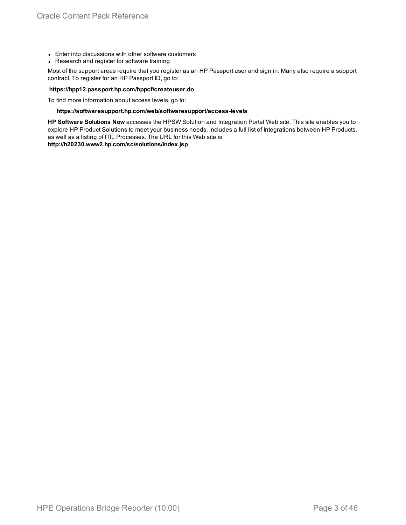- Enter into discussions with other software customers
- Research and register for software training

Most of the support areas require that you register as an HP Passport user and sign in. Many also require a support contract. To register for an HP Passport ID, go to:

#### **https://hpp12.passport.hp.com/hppcf/createuser.do**

To find more information about access levels, go to:

#### **https://softwaresupport.hp.com/web/softwaresupport/access-levels**

**HP Software Solutions Now** accesses the HPSW Solution and Integration Portal Web site. This site enables you to explore HP Product Solutions to meet your business needs, includes a full list of Integrations between HP Products, as well as a listing of ITIL Processes. The URL for this Web site is

**http://h20230.www2.hp.com/sc/solutions/index.jsp**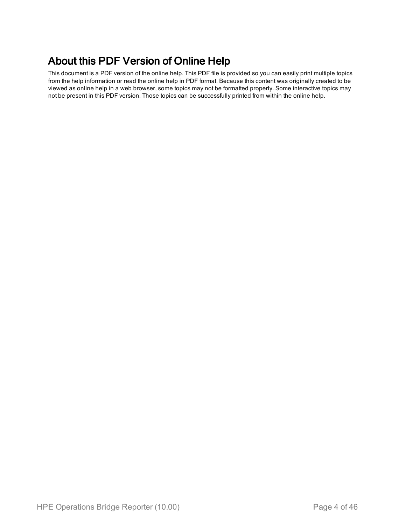### About this PDF Version of Online Help

This document is a PDF version of the online help. This PDF file is provided so you can easily print multiple topics from the help information or read the online help in PDF format. Because this content was originally created to be viewed as online help in a web browser, some topics may not be formatted properly. Some interactive topics may not be present in this PDF version. Those topics can be successfully printed from within the online help.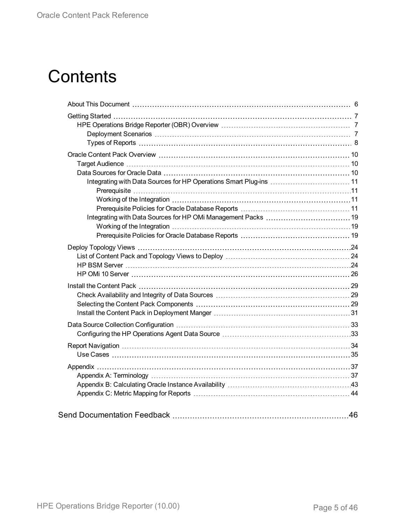# **Contents**

| 46 |
|----|
|    |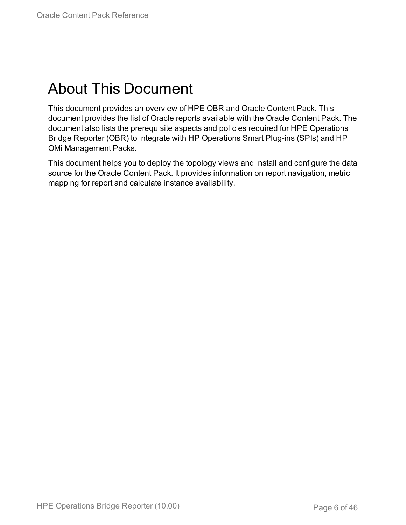# <span id="page-5-0"></span>About This Document

This document provides an overview of HPE OBR and Oracle Content Pack. This document provides the list of Oracle reports available with the Oracle Content Pack. The document also lists the prerequisite aspects and policies required for HPE Operations Bridge Reporter (OBR) to integrate with HP Operations Smart Plug-ins (SPIs) and HP OMi Management Packs.

This document helps you to deploy the topology views and install and configure the data source for the Oracle Content Pack. It provides information on report navigation, metric mapping for report and calculate instance availability.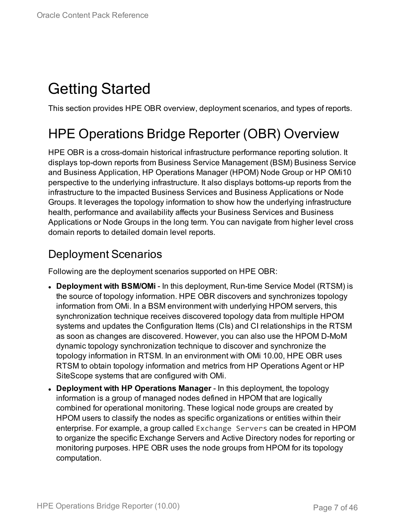# <span id="page-6-0"></span>Getting Started

<span id="page-6-1"></span>This section provides HPE OBR overview, deployment scenarios, and types of reports.

# HPE Operations Bridge Reporter (OBR) Overview

HPE OBR is a cross-domain historical infrastructure performance reporting solution. It displays top-down reports from Business Service Management (BSM) Business Service and Business Application, HP Operations Manager (HPOM) Node Group or HP OMi10 perspective to the underlying infrastructure. It also displays bottoms-up reports from the infrastructure to the impacted Business Services and Business Applications or Node Groups. It leverages the topology information to show how the underlying infrastructure health, performance and availability affects your Business Services and Business Applications or Node Groups in the long term. You can navigate from higher level cross domain reports to detailed domain level reports.

### <span id="page-6-2"></span>Deployment Scenarios

Following are the deployment scenarios supported on HPE OBR:

- **Deployment with BSM/OMi** In this deployment, Run-time Service Model (RTSM) is the source of topology information. HPE OBR discovers and synchronizes topology information from OMi. In a BSM environment with underlying HPOM servers, this synchronization technique receives discovered topology data from multiple HPOM systems and updates the Configuration Items (CIs) and CI relationships in the RTSM as soon as changes are discovered. However, you can also use the HPOM D-MoM dynamic topology synchronization technique to discover and synchronize the topology information in RTSM. In an environment with OMi 10.00, HPE OBR uses RTSM to obtain topology information and metrics from HP Operations Agent or HP SiteScope systems that are configured with OMi.
- <sup>l</sup> **Deployment with HP Operations Manager** In this deployment, the topology information is a group of managed nodes defined in HPOM that are logically combined for operational monitoring. These logical node groups are created by HPOM users to classify the nodes as specific organizations or entities within their enterprise. For example, a group called Exchange Servers can be created in HPOM to organize the specific Exchange Servers and Active Directory nodes for reporting or monitoring purposes. HPE OBR uses the node groups from HPOM for its topology computation.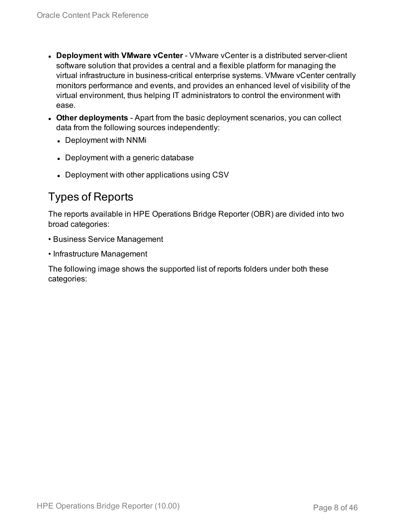- **.** Deployment with **VMware vCenter** VMware vCenter is a distributed server-client software solution that provides a central and a flexible platform for managing the virtual infrastructure in business-critical enterprise systems. VMware vCenter centrally monitors performance and events, and provides an enhanced level of visibility of the virtual environment, thus helping IT administrators to control the environment with ease.
- **Other deployments** Apart from the basic deployment scenarios, you can collect data from the following sources independently:
	- Deployment with NNMi
	- Deployment with a generic database
	- Deployment with other applications using CSV

### <span id="page-7-0"></span>Types of Reports

The reports available in HPE Operations Bridge Reporter (OBR) are divided into two broad categories:

- Business Service Management
- Infrastructure Management

The following image shows the supported list of reports folders under both these categories: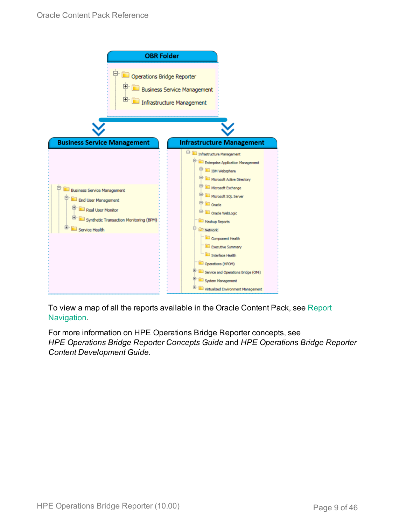

To view a map of all the reports available in the Oracle Content Pack, see [Report](#page-33-0) [Navigation](#page-33-0).

For more information on HPE Operations Bridge Reporter concepts, see *HPE Operations Bridge Reporter Concepts Guide* and *HPE Operations Bridge Reporter Content Development Guide*.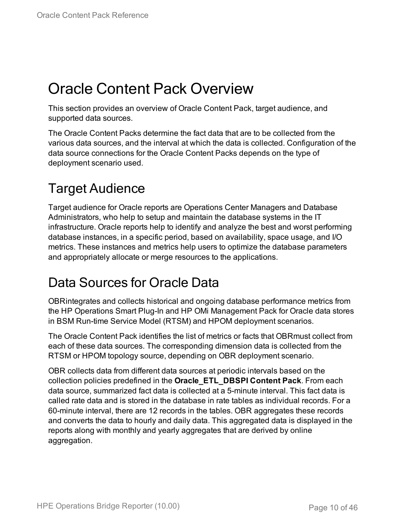# <span id="page-9-0"></span>Oracle Content Pack Overview

This section provides an overview of Oracle Content Pack, target audience, and supported data sources.

The Oracle Content Packs determine the fact data that are to be collected from the various data sources, and the interval at which the data is collected. Configuration of the data source connections for the Oracle Content Packs depends on the type of deployment scenario used.

# <span id="page-9-1"></span>Target Audience

Target audience for Oracle reports are Operations Center Managers and Database Administrators, who help to setup and maintain the database systems in the IT infrastructure. Oracle reports help to identify and analyze the best and worst performing database instances, in a specific period, based on availability, space usage, and I/O metrics. These instances and metrics help users to optimize the database parameters and appropriately allocate or merge resources to the applications.

## <span id="page-9-2"></span>Data Sources for Oracle Data

OBRintegrates and collects historical and ongoing database performance metrics from the HP Operations Smart Plug-In and HP OMi Management Pack for Oracle data stores in BSM Run-time Service Model (RTSM) and HPOM deployment scenarios.

The Oracle Content Pack identifies the list of metrics or facts that OBRmust collect from each of these data sources. The corresponding dimension data is collected from the RTSM or HPOM topology source, depending on OBR deployment scenario.

OBR collects data from different data sources at periodic intervals based on the collection policies predefined in the **Oracle\_ETL\_DBSPI Content Pack**. From each data source, summarized fact data is collected at a 5-minute interval. This fact data is called rate data and is stored in the database in rate tables as individual records. For a 60-minute interval, there are 12 records in the tables. OBR aggregates these records and converts the data to hourly and daily data. This aggregated data is displayed in the reports along with monthly and yearly aggregates that are derived by online aggregation.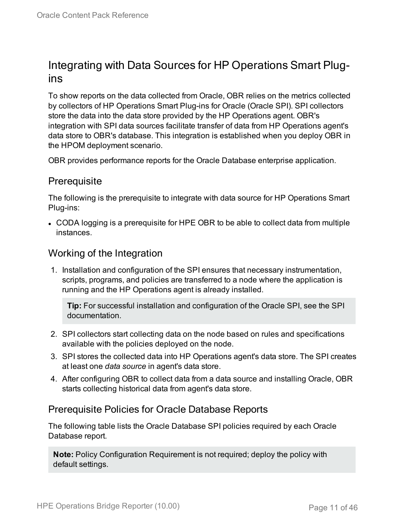### <span id="page-10-0"></span>Integrating with Data Sources for HP Operations Smart Plugins

To show reports on the data collected from Oracle, OBR relies on the metrics collected by collectors of HP Operations Smart Plug-ins for Oracle (Oracle SPI). SPI collectors store the data into the data store provided by the HP Operations agent. OBR's integration with SPI data sources facilitate transfer of data from HP Operations agent's data store to OBR's database. This integration is established when you deploy OBR in the HPOM deployment scenario.

<span id="page-10-1"></span>OBR provides performance reports for the Oracle Database enterprise application.

#### **Prerequisite**

The following is the prerequisite to integrate with data source for HP Operations Smart Plug-ins:

• CODA logging is a prerequisite for HPE OBR to be able to collect data from multiple instances.

#### <span id="page-10-2"></span>Working of the Integration

1. Installation and configuration of the SPI ensures that necessary instrumentation, scripts, programs, and policies are transferred to a node where the application is running and the HP Operations agent is already installed.

**Tip:** For successful installation and configuration of the Oracle SPI, see the SPI documentation.

- 2. SPI collectors start collecting data on the node based on rules and specifications available with the policies deployed on the node.
- 3. SPI stores the collected data into HP Operations agent's data store. The SPI creates at least one *data source* in agent's data store.
- 4. After configuring OBR to collect data from a data source and installing Oracle, OBR starts collecting historical data from agent's data store.

#### <span id="page-10-3"></span>Prerequisite Policies for Oracle Database Reports

The following table lists the Oracle Database SPI policies required by each Oracle Database report.

**Note:** Policy Configuration Requirement is not required; deploy the policy with default settings.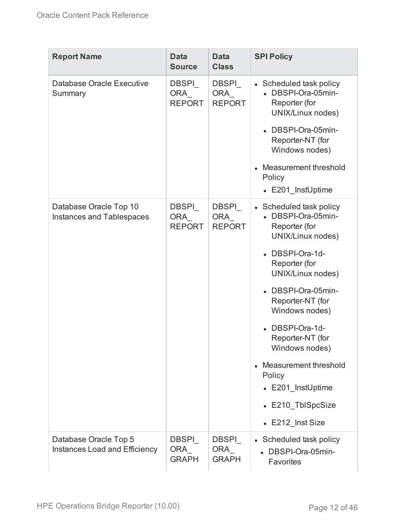| <b>Report Name</b>                                            | <b>Data</b><br><b>Source</b>                | <b>Data</b><br><b>Class</b>                 | <b>SPI Policy</b>                                                                                                                             |
|---------------------------------------------------------------|---------------------------------------------|---------------------------------------------|-----------------------------------------------------------------------------------------------------------------------------------------------|
| Database Oracle Executive<br>Summary                          | DBSPI<br>ORA<br><b>REPORT</b>               | <b>DBSPI</b><br>ORA<br><b>REPORT</b>        | • Scheduled task policy<br>• DBSPI-Ora-05min-<br>Reporter (for<br>UNIX/Linux nodes)<br>DBSPI-Ora-05min-<br>Reporter-NT (for<br>Windows nodes) |
|                                                               |                                             |                                             | Measurement threshold<br>$\bullet$<br>Policy<br>• E201 InstUptime                                                                             |
| Database Oracle Top 10<br><b>Instances and Tablespaces</b>    | <b>DBSPI</b><br><b>ORA</b><br><b>REPORT</b> | <b>DBSPI</b><br><b>ORA</b><br><b>REPORT</b> | • Scheduled task policy<br>• DBSPI-Ora-05min-<br>Reporter (for<br>UNIX/Linux nodes)                                                           |
|                                                               |                                             |                                             | • DBSPI-Ora-1d-<br>Reporter (for<br>UNIX/Linux nodes)                                                                                         |
|                                                               |                                             |                                             | DBSPI-Ora-05min-<br>Reporter-NT (for<br>Windows nodes)                                                                                        |
|                                                               |                                             |                                             | DBSPI-Ora-1d-<br>Reporter-NT (for<br>Windows nodes)                                                                                           |
|                                                               |                                             |                                             | Measurement threshold<br>$\bullet$<br>Policy<br>• E201_InstUptime                                                                             |
|                                                               |                                             |                                             | • E210 TblSpcSize                                                                                                                             |
| Database Oracle Top 5<br><b>Instances Load and Efficiency</b> | <b>DBSPI</b><br>ORA<br><b>GRAPH</b>         | <b>DBSPI</b><br>ORA_<br><b>GRAPH</b>        | • E212_Inst Size<br>• Scheduled task policy<br>• DBSPI-Ora-05min-<br><b>Favorites</b>                                                         |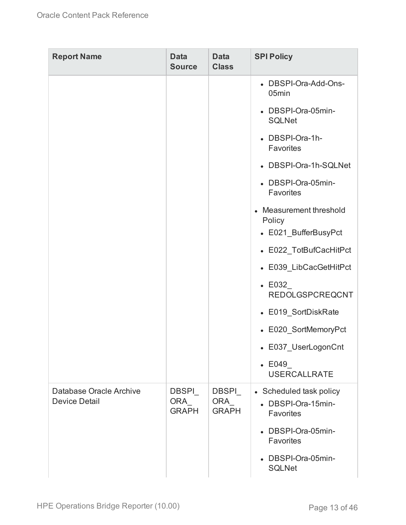| <b>Report Name</b>                              | <b>Data</b><br><b>Source</b>        | <b>Data</b><br><b>Class</b>                | <b>SPI Policy</b>                                          |
|-------------------------------------------------|-------------------------------------|--------------------------------------------|------------------------------------------------------------|
|                                                 |                                     |                                            | • DBSPI-Ora-Add-Ons-<br>05min                              |
|                                                 |                                     |                                            | • DBSPI-Ora-05min-<br><b>SQLNet</b>                        |
|                                                 |                                     |                                            | • DBSPI-Ora-1h-<br>Favorites                               |
|                                                 |                                     |                                            | • DBSPI-Ora-1h-SQLNet                                      |
|                                                 |                                     |                                            | • DBSPI-Ora-05min-<br>Favorites                            |
|                                                 |                                     |                                            | • Measurement threshold<br>Policy<br>• E021_BufferBusyPct  |
|                                                 |                                     |                                            | • E022_TotBufCacHitPct                                     |
|                                                 |                                     |                                            | • E039_LibCacGetHitPct                                     |
|                                                 |                                     |                                            | $\textcolor{blue}{\bullet}$ E032<br><b>REDOLGSPCREQCNT</b> |
|                                                 |                                     |                                            | • E019_SortDiskRate                                        |
|                                                 |                                     |                                            | • E020_SortMemoryPct                                       |
|                                                 |                                     |                                            | • E037_UserLogonCnt                                        |
|                                                 |                                     |                                            | $\textcolor{blue}{\bullet}$ E049<br><b>USERCALLRATE</b>    |
| Database Oracle Archive<br><b>Device Detail</b> | <b>DBSPI</b><br>ORA<br><b>GRAPH</b> | <b>DBSPI</b><br><b>ORA</b><br><b>GRAPH</b> | • Scheduled task policy<br>• DBSPI-Ora-15min-<br>Favorites |
|                                                 |                                     |                                            | • DBSPI-Ora-05min-<br>Favorites                            |
|                                                 |                                     |                                            | • DBSPI-Ora-05min-<br><b>SQLNet</b>                        |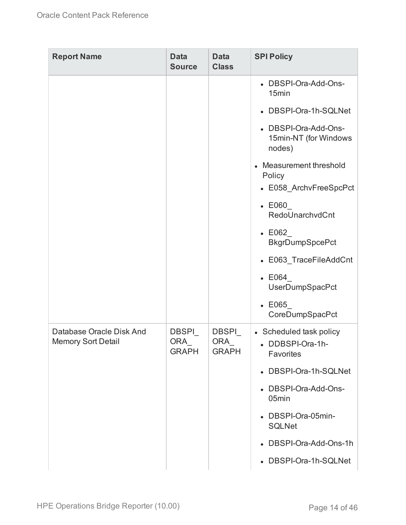| <b>Report Name</b>                                    | <b>Data</b><br><b>Source</b>         | <b>Data</b><br><b>Class</b>          | <b>SPI Policy</b>                                                      |
|-------------------------------------------------------|--------------------------------------|--------------------------------------|------------------------------------------------------------------------|
|                                                       |                                      |                                      | • DBSPI-Ora-Add-Ons-<br>15min                                          |
|                                                       |                                      |                                      | • DBSPI-Ora-1h-SQLNet                                                  |
|                                                       |                                      |                                      | • DBSPI-Ora-Add-Ons-<br>15min-NT (for Windows<br>nodes)                |
|                                                       |                                      |                                      | Measurement threshold<br>$\bullet$<br>Policy<br>• E058_ArchvFreeSpcPct |
|                                                       |                                      |                                      | $\textcolor{blue}{\bullet}$ E060                                       |
|                                                       |                                      |                                      | RedoUnarchvdCnt                                                        |
|                                                       |                                      |                                      | $\textcolor{blue}{\bullet}$ E062<br><b>BkgrDumpSpcePct</b>             |
|                                                       |                                      |                                      | • E063_TraceFileAddCnt                                                 |
|                                                       |                                      |                                      | $\textdegree$ E064<br>UserDumpSpacPct                                  |
|                                                       |                                      |                                      | $\textcolor{blue}{\bullet}\ \mathsf{E065}$<br>CoreDumpSpacPct          |
| Database Oracle Disk And<br><b>Memory Sort Detail</b> | <b>DBSPI</b><br>ORA_<br><b>GRAPH</b> | <b>DBSPI</b><br>ORA_<br><b>GRAPH</b> | • Scheduled task policy<br>• DDBSPI-Ora-1h-<br><b>Favorites</b>        |
|                                                       |                                      |                                      | • DBSPI-Ora-1h-SQLNet                                                  |
|                                                       |                                      |                                      | • DBSPI-Ora-Add-Ons-<br>05min                                          |
|                                                       |                                      |                                      | • DBSPI-Ora-05min-<br><b>SQLNet</b>                                    |
|                                                       |                                      |                                      | • DBSPI-Ora-Add-Ons-1h                                                 |
|                                                       |                                      |                                      | • DBSPI-Ora-1h-SQLNet                                                  |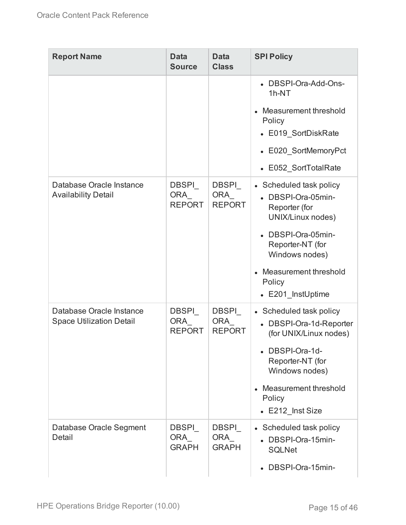| <b>Report Name</b>                                          | <b>Data</b><br><b>Source</b>         | <b>Data</b><br><b>Class</b>                 | <b>SPI Policy</b>                                                                                                                                                                                       |
|-------------------------------------------------------------|--------------------------------------|---------------------------------------------|---------------------------------------------------------------------------------------------------------------------------------------------------------------------------------------------------------|
|                                                             |                                      |                                             | • DBSPI-Ora-Add-Ons-<br>$1h-NT$<br>Measurement threshold<br>Policy<br>• E019_SortDiskRate<br>• E020 SortMemoryPct<br>• E052_SortTotalRate                                                               |
| Database Oracle Instance<br><b>Availability Detail</b>      | <b>DBSPI</b><br>ORA<br><b>REPORT</b> | <b>DBSPI</b><br><b>ORA</b><br><b>REPORT</b> | • Scheduled task policy<br>• DBSPI-Ora-05min-<br>Reporter (for<br>UNIX/Linux nodes)<br>• DBSPI-Ora-05min-<br>Reporter-NT (for<br>Windows nodes)<br>Measurement threshold<br>Policy<br>• E201_InstUptime |
| Database Oracle Instance<br><b>Space Utilization Detail</b> | DBSPI<br>ORA<br><b>REPORT</b>        | <b>DBSPI</b><br><b>ORA</b><br><b>REPORT</b> | • Scheduled task policy<br>• DBSPI-Ora-1d-Reporter<br>(for UNIX/Linux nodes)<br>• DBSPI-Ora-1d-<br>Reporter-NT (for<br>Windows nodes)<br>Measurement threshold<br>Policy<br>• E212 Inst Size            |
| Database Oracle Segment<br>Detail                           | <b>DBSPI</b><br>ORA<br><b>GRAPH</b>  | <b>DBSPI</b><br>ORA<br><b>GRAPH</b>         | • Scheduled task policy<br>• DBSPI-Ora-15min-<br><b>SQLNet</b><br>• DBSPI-Ora-15min-                                                                                                                    |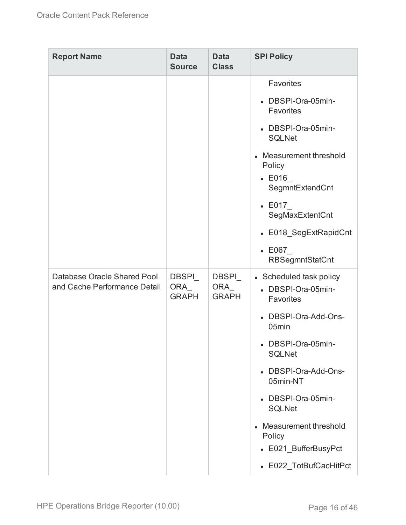| <b>Report Name</b>                                          | <b>Data</b><br><b>Source</b>        | <b>Data</b><br><b>Class</b>         | <b>SPI Policy</b>                                                                  |
|-------------------------------------------------------------|-------------------------------------|-------------------------------------|------------------------------------------------------------------------------------|
|                                                             |                                     |                                     | Favorites                                                                          |
|                                                             |                                     |                                     | DBSPI-Ora-05min-<br><b>Favorites</b>                                               |
|                                                             |                                     |                                     | • DBSPI-Ora-05min-<br><b>SQLNet</b>                                                |
|                                                             |                                     |                                     | Measurement threshold<br>$\bullet$<br>Policy<br>$\text{-}$ E016<br>SegmntExtendCnt |
|                                                             |                                     |                                     | $\text{-}$ E017<br>SegMaxExtentCnt                                                 |
|                                                             |                                     |                                     | • E018_SegExtRapidCnt                                                              |
|                                                             |                                     |                                     | $\textcolor{red}{\bullet}\ \mathsf{E067}$<br><b>RBSegmntStatCnt</b>                |
| Database Oracle Shared Pool<br>and Cache Performance Detail | <b>DBSPI</b><br>ORA<br><b>GRAPH</b> | <b>DBSPI</b><br>ORA<br><b>GRAPH</b> | • Scheduled task policy<br>• DBSPI-Ora-05min-<br>Favorites                         |
|                                                             |                                     |                                     | DBSPI-Ora-Add-Ons-<br>05min                                                        |
|                                                             |                                     |                                     | • DBSPI-Ora-05min-<br><b>SQLNet</b>                                                |
|                                                             |                                     |                                     | • DBSPI-Ora-Add-Ons-<br>05min-NT                                                   |
|                                                             |                                     |                                     | • DBSPI-Ora-05min-<br><b>SQLNet</b>                                                |
|                                                             |                                     |                                     | Measurement threshold<br>$\bullet$<br>Policy                                       |
|                                                             |                                     |                                     | • E021_BufferBusyPct                                                               |
|                                                             |                                     |                                     | • E022_TotBufCacHitPct                                                             |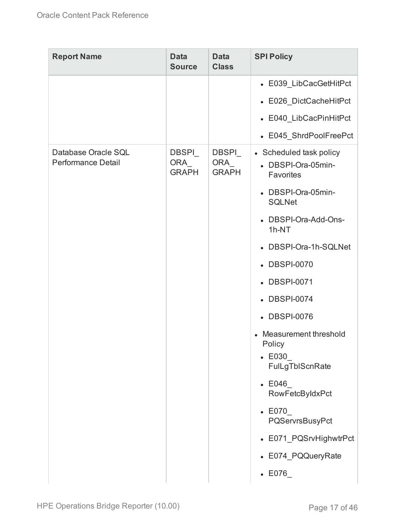| <b>Report Name</b>                               | <b>Data</b><br><b>Source</b>        | <b>Data</b><br><b>Class</b>          | <b>SPI Policy</b>                                                                                   |
|--------------------------------------------------|-------------------------------------|--------------------------------------|-----------------------------------------------------------------------------------------------------|
|                                                  |                                     |                                      | • E039_LibCacGetHitPct                                                                              |
|                                                  |                                     |                                      | • E026_DictCacheHitPct                                                                              |
|                                                  |                                     |                                      | • E040_LibCacPinHitPct                                                                              |
|                                                  |                                     |                                      | • E045_ShrdPoolFreePct                                                                              |
| Database Oracle SQL<br><b>Performance Detail</b> | <b>DBSPI</b><br>ORA<br><b>GRAPH</b> | <b>DBSPI</b><br>ORA_<br><b>GRAPH</b> | • Scheduled task policy<br>• DBSPI-Ora-05min-<br>Favorites                                          |
|                                                  |                                     |                                      | • DBSPI-Ora-05min-<br><b>SQLNet</b>                                                                 |
|                                                  |                                     |                                      | • DBSPI-Ora-Add-Ons-<br>1h-NT                                                                       |
|                                                  |                                     |                                      | • DBSPI-Ora-1h-SQLNet                                                                               |
|                                                  |                                     |                                      | • DBSPI-0070                                                                                        |
|                                                  |                                     |                                      | • DBSPI-0071                                                                                        |
|                                                  |                                     |                                      | • DBSPI-0074                                                                                        |
|                                                  |                                     |                                      | • DBSPI-0076                                                                                        |
|                                                  |                                     |                                      | Measurement threshold<br>$\bullet$<br>Policy<br>$\textcolor{blue}{\bullet}$ E030<br>FulLgTbIScnRate |
|                                                  |                                     |                                      | $\textdegree$ E046<br>RowFetcByIdxPct                                                               |
|                                                  |                                     |                                      | $\textcolor{blue}{\bullet}\ \mathsf{E070}$<br>PQServrsBusyPct                                       |
|                                                  |                                     |                                      | • E071_PQSrvHighwtrPct                                                                              |
|                                                  |                                     |                                      | • E074_PQQueryRate                                                                                  |
|                                                  |                                     |                                      | $\textdegree$ E076                                                                                  |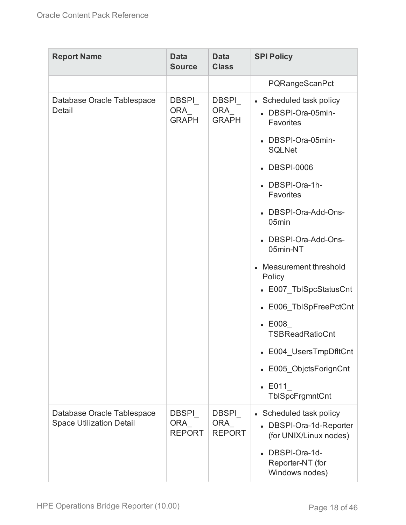| <b>Report Name</b>                                            | <b>Data</b><br><b>Source</b>         | <b>Data</b><br><b>Class</b>          | <b>SPI Policy</b>                                                            |
|---------------------------------------------------------------|--------------------------------------|--------------------------------------|------------------------------------------------------------------------------|
|                                                               |                                      |                                      | PQRangeScanPct                                                               |
| Database Oracle Tablespace<br>Detail                          | <b>DBSPI</b><br>ORA_<br><b>GRAPH</b> | <b>DBSPI</b><br>ORA<br><b>GRAPH</b>  | • Scheduled task policy<br>• DBSPI-Ora-05min-<br>Favorites                   |
|                                                               |                                      |                                      | • DBSPI-Ora-05min-<br><b>SQLNet</b>                                          |
|                                                               |                                      |                                      | • DBSPI-0006                                                                 |
|                                                               |                                      |                                      | • DBSPI-Ora-1h-<br>Favorites                                                 |
|                                                               |                                      |                                      | • DBSPI-Ora-Add-Ons-<br>05min                                                |
|                                                               |                                      |                                      | • DBSPI-Ora-Add-Ons-<br>05min-NT                                             |
|                                                               |                                      |                                      | Measurement threshold<br>Policy                                              |
|                                                               |                                      |                                      | • E007_TblSpcStatusCnt                                                       |
|                                                               |                                      |                                      | • E006_TblSpFreePctCnt                                                       |
|                                                               |                                      |                                      | $\textcolor{red}{\bullet}\ \mathsf{E008}$<br><b>TSBReadRatioCnt</b>          |
|                                                               |                                      |                                      | • E004_UsersTmpDfltCnt                                                       |
|                                                               |                                      |                                      | • E005_ObjctsForignCnt                                                       |
|                                                               |                                      |                                      | $\cdot$ E011<br>TbISpcFrgmntCnt                                              |
| Database Oracle Tablespace<br><b>Space Utilization Detail</b> | DBSPI<br><b>ORA</b><br><b>REPORT</b> | DBSPI<br><b>ORA</b><br><b>REPORT</b> | • Scheduled task policy<br>• DBSPI-Ora-1d-Reporter<br>(for UNIX/Linux nodes) |
|                                                               |                                      |                                      | DBSPI-Ora-1d-<br>Reporter-NT (for<br>Windows nodes)                          |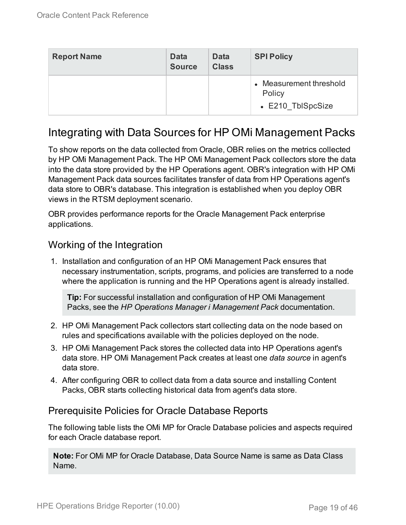| <b>Report Name</b> | <b>Data</b><br><b>Source</b> | <b>Data</b><br><b>Class</b> | <b>SPI Policy</b>                                      |
|--------------------|------------------------------|-----------------------------|--------------------------------------------------------|
|                    |                              |                             | • Measurement threshold<br>Policy<br>• E210 TblSpcSize |

### <span id="page-18-0"></span>Integrating with Data Sources for HP OMi Management Packs

To show reports on the data collected from Oracle, OBR relies on the metrics collected by HP OMi Management Pack. The HP OMi Management Pack collectors store the data into the data store provided by the HP Operations agent. OBR's integration with HP OMi Management Pack data sources facilitates transfer of data from HP Operations agent's data store to OBR's database. This integration is established when you deploy OBR views in the RTSM deployment scenario.

OBR provides performance reports for the Oracle Management Pack enterprise applications.

#### <span id="page-18-1"></span>Working of the Integration

1. Installation and configuration of an HP OMi Management Pack ensures that necessary instrumentation, scripts, programs, and policies are transferred to a node where the application is running and the HP Operations agent is already installed.

**Tip:** For successful installation and configuration of HP OMi Management Packs, see the *HP Operations Manager i Management Pack* documentation.

- 2. HP OMi Management Pack collectors start collecting data on the node based on rules and specifications available with the policies deployed on the node.
- 3. HP OMi Management Pack stores the collected data into HP Operations agent's data store. HP OMi Management Pack creates at least one *data source* in agent's data store.
- 4. After configuring OBR to collect data from a data source and installing Content Packs, OBR starts collecting historical data from agent's data store.

#### <span id="page-18-2"></span>Prerequisite Policies for Oracle Database Reports

The following table lists the OMi MP for Oracle Database policies and aspects required for each Oracle database report.

**Note:** For OMi MP for Oracle Database, Data Source Name is same as Data Class Name.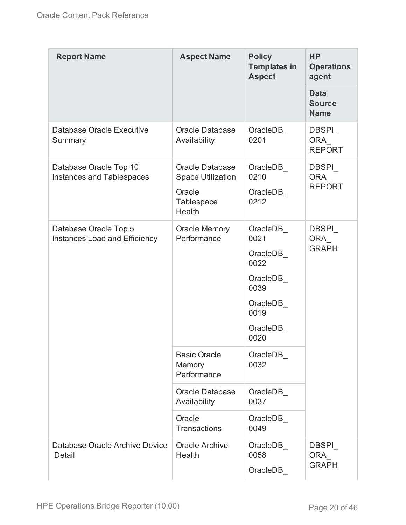| <b>Report Name</b>                                            | <b>Aspect Name</b>                                                                                 | <b>Policy</b><br><b>Templates in</b><br><b>Aspect</b>                                             | <b>HP</b><br><b>Operations</b><br>agent     |
|---------------------------------------------------------------|----------------------------------------------------------------------------------------------------|---------------------------------------------------------------------------------------------------|---------------------------------------------|
|                                                               |                                                                                                    |                                                                                                   | <b>Data</b><br><b>Source</b><br><b>Name</b> |
| Database Oracle Executive<br>Summary                          | <b>Oracle Database</b><br>Availability                                                             | OracleDB<br>0201                                                                                  | <b>DBSPI</b><br><b>ORA</b><br><b>REPORT</b> |
| Database Oracle Top 10<br>Instances and Tablespaces           | <b>Oracle Database</b><br><b>Space Utilization</b><br>Oracle<br><b>Tablespace</b><br><b>Health</b> | OracleDB<br>0210<br>OracleDB<br>0212                                                              | <b>DBSPI</b><br>ORA<br><b>REPORT</b>        |
| Database Oracle Top 5<br><b>Instances Load and Efficiency</b> | <b>Oracle Memory</b><br>Performance                                                                | OracleDB<br>0021<br>OracleDB<br>0022<br>OracleDB<br>0039<br>OracleDB<br>0019<br>OracleDB_<br>0020 | <b>DBSPI</b><br>ORA<br><b>GRAPH</b>         |
|                                                               | <b>Basic Oracle</b><br><b>Memory</b><br>Performance                                                | OracleDB<br>0032                                                                                  |                                             |
|                                                               | <b>Oracle Database</b><br>Availability                                                             | OracleDB<br>0037                                                                                  |                                             |
|                                                               | Oracle<br><b>Transactions</b>                                                                      | OracleDB<br>0049                                                                                  |                                             |
| Database Oracle Archive Device<br>Detail                      | <b>Oracle Archive</b><br>Health                                                                    | OracleDB<br>0058<br>OracleDB                                                                      | <b>DBSPI</b><br>ORA<br><b>GRAPH</b>         |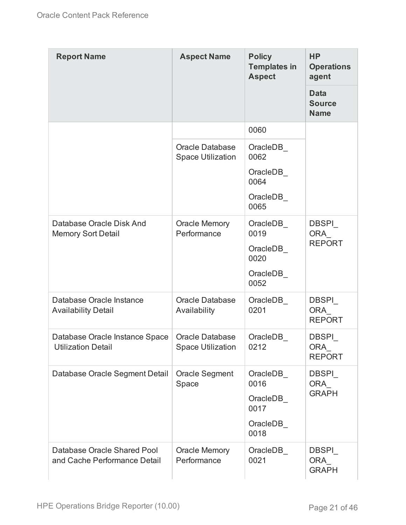| <b>Report Name</b>                                          | <b>Aspect Name</b>                                 | <b>Policy</b><br><b>Templates in</b><br><b>Aspect</b>    | <b>HP</b><br><b>Operations</b><br>agent     |
|-------------------------------------------------------------|----------------------------------------------------|----------------------------------------------------------|---------------------------------------------|
|                                                             |                                                    |                                                          | <b>Data</b><br><b>Source</b><br><b>Name</b> |
|                                                             |                                                    | 0060                                                     |                                             |
|                                                             | <b>Oracle Database</b><br><b>Space Utilization</b> | OracleDB_<br>0062                                        |                                             |
|                                                             |                                                    | OracleDB<br>0064                                         |                                             |
|                                                             |                                                    | OracleDB_<br>0065                                        |                                             |
| Database Oracle Disk And<br><b>Memory Sort Detail</b>       | <b>Oracle Memory</b><br>Performance                | OracleDB<br>0019<br>OracleDB<br>0020                     | <b>DBSPI</b><br><b>ORA</b><br><b>REPORT</b> |
|                                                             |                                                    | OracleDB<br>0052                                         |                                             |
| Database Oracle Instance<br><b>Availability Detail</b>      | <b>Oracle Database</b><br>Availability             | OracleDB_<br>0201                                        | DBSPI_<br>ORA<br><b>REPORT</b>              |
| Database Oracle Instance Space<br><b>Utilization Detail</b> | <b>Oracle Database</b><br><b>Space Utilization</b> | OracleDB<br>0212                                         | <b>DBSPI</b><br><b>ORA</b><br><b>REPORT</b> |
| Database Oracle Segment Detail                              | <b>Oracle Segment</b><br>Space                     | OracleDB<br>0016<br>OracleDB<br>0017<br>OracleDB<br>0018 | <b>DBSPI</b><br>ORA<br><b>GRAPH</b>         |
| Database Oracle Shared Pool<br>and Cache Performance Detail | <b>Oracle Memory</b><br>Performance                | OracleDB<br>0021                                         | <b>DBSPI</b><br>ORA<br><b>GRAPH</b>         |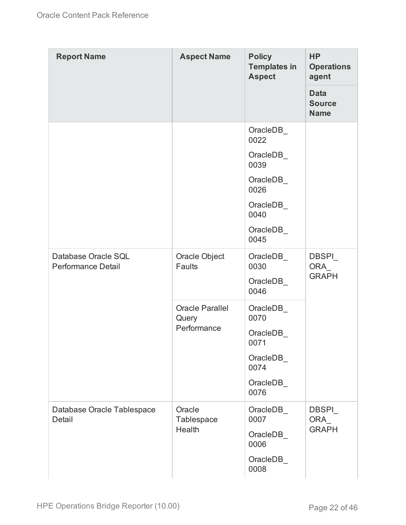| <b>Report Name</b>                        | <b>Aspect Name</b>                             | <b>Policy</b><br><b>Templates in</b><br><b>Aspect</b> | <b>HP</b><br><b>Operations</b><br>agent     |
|-------------------------------------------|------------------------------------------------|-------------------------------------------------------|---------------------------------------------|
|                                           |                                                |                                                       | <b>Data</b><br><b>Source</b><br><b>Name</b> |
|                                           |                                                | OracleDB<br>0022                                      |                                             |
|                                           |                                                | OracleDB<br>0039                                      |                                             |
|                                           |                                                | OracleDB_<br>0026                                     |                                             |
|                                           |                                                | OracleDB<br>0040                                      |                                             |
|                                           |                                                | OracleDB<br>0045                                      |                                             |
| Database Oracle SQL<br>Performance Detail | Oracle Object<br>Faults                        | OracleDB<br>0030                                      | <b>DBSPI</b><br><b>ORA</b><br><b>GRAPH</b>  |
|                                           |                                                | OracleDB_<br>0046                                     |                                             |
|                                           | <b>Oracle Parallel</b><br>Query<br>Performance | OracleDB<br>0070                                      |                                             |
|                                           |                                                | OracleDB<br>0071                                      |                                             |
|                                           |                                                | OracleDB_<br>0074                                     |                                             |
|                                           |                                                | OracleDB_<br>0076                                     |                                             |
| Database Oracle Tablespace<br>Detail      | Oracle<br>Tablespace<br>Health                 | OracleDB_<br>0007                                     | <b>DBSPI</b><br>ORA_<br><b>GRAPH</b>        |
|                                           |                                                | OracleDB_<br>0006                                     |                                             |
|                                           |                                                | OracleDB<br>0008                                      |                                             |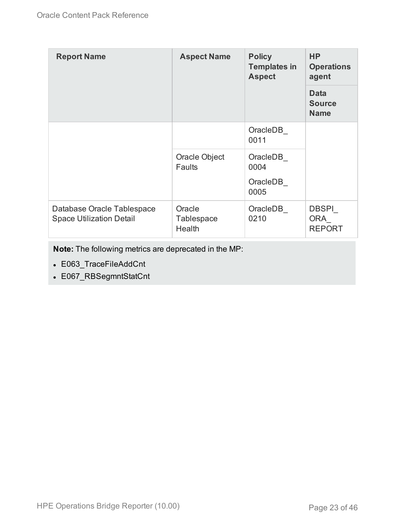| <b>Report Name</b>                                            | <b>Aspect Name</b>                    | <b>Policy</b><br><b>Templates in</b><br><b>Aspect</b> | <b>HP</b><br><b>Operations</b><br>agent     |
|---------------------------------------------------------------|---------------------------------------|-------------------------------------------------------|---------------------------------------------|
|                                                               |                                       |                                                       | <b>Data</b><br><b>Source</b><br><b>Name</b> |
|                                                               |                                       | OracleDB<br>0011                                      |                                             |
|                                                               | Oracle Object<br><b>Faults</b>        | OracleDB<br>0004<br>OracleDB<br>0005                  |                                             |
| Database Oracle Tablespace<br><b>Space Utilization Detail</b> | Oracle<br><b>Tablespace</b><br>Health | OracleDB<br>0210                                      | <b>DBSPI</b><br><b>ORA</b><br><b>REPORT</b> |

**Note:** The following metrics are deprecated in the MP:

- E063\_TraceFileAddCnt
- E067\_RBSegmntStatCnt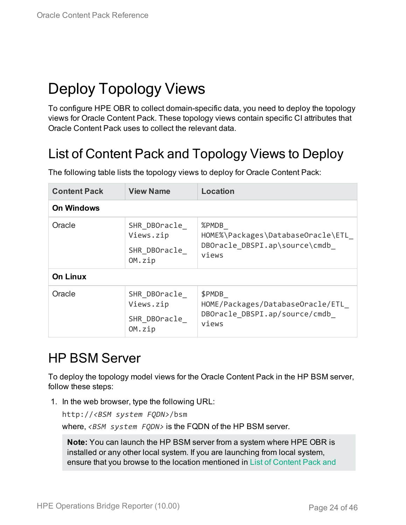# <span id="page-23-0"></span>Deploy Topology Views

To configure HPE OBR to collect domain-specific data, you need to deploy the topology views for Oracle Content Pack. These topology views contain specific CI attributes that Oracle Content Pack uses to collect the relevant data.

# <span id="page-23-1"></span>List of Content Pack and Topology Views to Deploy

| <b>Content Pack</b> | <b>View Name</b>                                    | <b>Location</b>                                                                       |
|---------------------|-----------------------------------------------------|---------------------------------------------------------------------------------------|
| <b>On Windows</b>   |                                                     |                                                                                       |
| Oracle              | SHR DBOracle<br>Views.zip<br>SHR DBOracle<br>OM.zip | %PMDB<br>HOME%\Packages\DatabaseOracle\ETL<br>DBOracle_DBSPI.ap\source\cmdb_<br>views |
| <b>On Linux</b>     |                                                     |                                                                                       |
| Oracle              | SHR DBOracle<br>Views.zip<br>SHR DBOracle<br>OM.zip | \$PMDB<br>HOME/Packages/DatabaseOracle/ETL<br>DBOracle DBSPI.ap/source/cmdb<br>views  |

The following table lists the topology views to deploy for Oracle Content Pack:

## <span id="page-23-2"></span>HP BSM Server

To deploy the topology model views for the Oracle Content Pack in the HP BSM server, follow these steps:

1. In the web browser, type the following URL:

```
http://<BSM system FQDN>/bsm
```
where, *<BSM system FQDN>* is the FQDN of the HP BSM server.

**Note:** You can launch the HP BSM server from a system where HPE OBR is installed or any other local system. If you are launching from local system, ensure that you browse to the location mentioned in List of [Content](#page-23-1) Pack and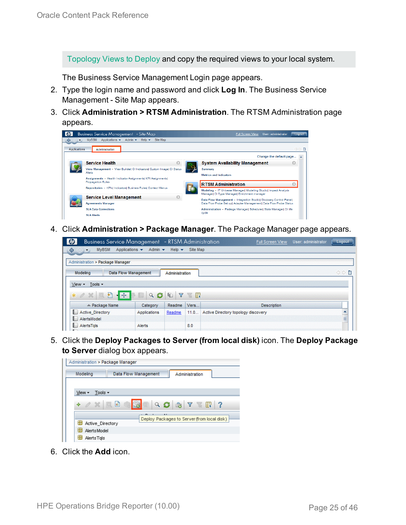[Topology](#page-23-1) Views to Deploy and copy the required views to your local system.

The Business Service Management Login page appears.

- 2. Type the login name and password and click **Log In**. The Business Service Management - Site Map appears.
- 3. Click **Administration > RTSM Administration**. The RTSM Administration page appears.



4. Click **Administration > Package Manager**. The Package Manager page appears.

| $\omega$<br><b>Business Service Management</b> - RTSM Administration |                                       |                           |          | Full Screen View                    | User: administrator | Logout |
|----------------------------------------------------------------------|---------------------------------------|---------------------------|----------|-------------------------------------|---------------------|--------|
| <b>MyBSM</b><br>♦<br>$\Leftrightarrow$<br>$\blacktriangledown$       | Applications $\star$<br>Admin $\star$ | Help $\blacktriangledown$ | Site Map |                                     |                     |        |
| Administration > Package Manager                                     |                                       |                           |          |                                     |                     |        |
| Modeling                                                             | <b>Data Flow Management</b>           | Administration            |          |                                     |                     | ◇◇■    |
| Tools -<br>View -                                                    |                                       |                           |          |                                     |                     |        |
| $-45.$<br>自<br>$*$ $\alpha$ $\mathbb{X}$<br>200                      | Q                                     | $\sqrt{ }$<br>40          | r in     |                                     |                     |        |
| ≐ Package Name                                                       | Category                              | Readme                    | Vers     | <b>Description</b>                  |                     |        |
| <b>Active Directory</b>                                              | Applications                          | Readme                    | 11.0     | Active Directory topology discovery |                     |        |
| AlertsModel                                                          |                                       |                           |          |                                     |                     | E      |
| AlertsTals<br>$\blacksquare$                                         | Alerts                                |                           | 8.0      |                                     |                     |        |

5. Click the **Deploy Packages to Server (from local disk)** icon. The **Deploy Package to Server** dialog box appears.



6. Click the **Add** icon.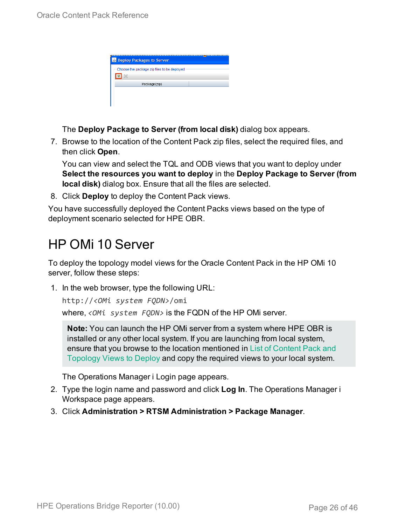| <b>Deploy Packages to Server</b>            |  |
|---------------------------------------------|--|
| Choose the package zip files to be deployed |  |
| Package(zip)                                |  |
|                                             |  |
|                                             |  |

The **Deploy Package to Server (from local disk)** dialog box appears.

7. Browse to the location of the Content Pack zip files, select the required files, and then click **Open**.

You can view and select the TQL and ODB views that you want to deploy under **Select the resources you want to deploy** in the **Deploy Package to Server (from local disk)** dialog box. Ensure that all the files are selected.

8. Click **Deploy** to deploy the Content Pack views.

You have successfully deployed the Content Packs views based on the type of deployment scenario selected for HPE OBR.

## <span id="page-25-0"></span>HP OMi 10 Server

To deploy the topology model views for the Oracle Content Pack in the HP OMi 10 server, follow these steps:

1. In the web browser, type the following URL:

```
http://<OMi system FQDN>/omi
```
where, *<OMi system FQDN>* is the FQDN of the HP OMi server.

**Note:** You can launch the HP OMi server from a system where HPE OBR is installed or any other local system. If you are launching from local system, ensure that you browse to the location mentioned in List of [Content](#page-23-1) Pack and [Topology](#page-23-1) Views to Deploy and copy the required views to your local system.

The Operations Manager i Login page appears.

- 2. Type the login name and password and click **Log In**. The Operations Manager i Workspace page appears.
- 3. Click **Administration > RTSM Administration > Package Manager**.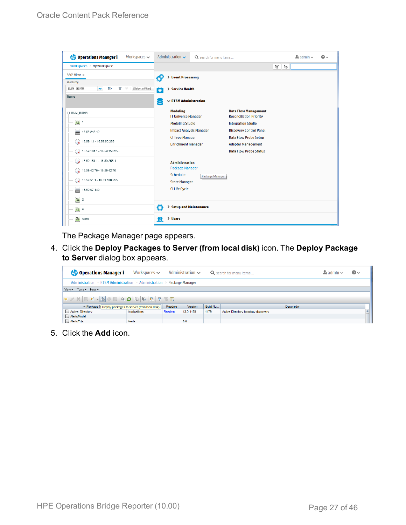| <b>Operations Manager i</b><br>Workspaces $\smile$                       | Administration $\sim$                         | Q search for menu items        |                                                               |              | $\Delta$ admin $\sim$ | $\bullet$ |
|--------------------------------------------------------------------------|-----------------------------------------------|--------------------------------|---------------------------------------------------------------|--------------|-----------------------|-----------|
| Workspaces > My Workspace                                                |                                               |                                |                                                               | Ħ.<br>Tel 11 |                       |           |
| 360° View x                                                              | > Event Processing                            |                                |                                                               |              |                       |           |
| Hierarchy                                                                |                                               |                                |                                                               |              |                       |           |
| È<br>EUM_BSMR<br>×.<br>Y<br>[Select a Filter]<br>$\overline{\mathbb{Y}}$ | ô<br>> Service Health                         |                                |                                                               |              |                       |           |
| Name                                                                     | $\sim$ RTSM Administration                    |                                |                                                               |              |                       |           |
| E EUM_BSMR                                                               | <b>Modeling</b><br><b>IT Universe Manager</b> |                                | <b>Data Flow Management</b><br><b>Reconciliation Priority</b> |              |                       |           |
| $\boxed{0}$ 1                                                            | <b>Modeling Studio</b>                        |                                | <b>Integration Studio</b>                                     |              |                       |           |
| Ë<br>16.55.245.42                                                        |                                               | <b>Impact Analysis Manager</b> | <b>Discovery Control Panel</b>                                |              |                       |           |
| $\bullet$ 16.59.1.1 - 16.59.50.255                                       | <b>CI Type Manager</b>                        |                                | <b>Data Flow Probe Setup</b>                                  |              |                       |           |
|                                                                          | <b>Enrichment manager</b>                     |                                | <b>Adapter Management</b>                                     |              |                       |           |
| $\bigotimes$ 16.59.101.1 - 16.59.150.255                                 |                                               |                                | <b>Data Flow Probe Status</b>                                 |              |                       |           |
| $\bigotimes$ 16.59.151.1 - 16.59.255.1                                   | <b>Administration</b>                         |                                |                                                               |              |                       |           |
| 16.59.42.70 - 16.59.42.70                                                | <b>Package Manager</b>                        |                                |                                                               |              |                       |           |
|                                                                          | Scheduler                                     | Package Manager                |                                                               |              |                       |           |
| $\bigotimes$ 16.59.51.1 - 16.59.100.255                                  | <b>State Manager</b>                          |                                |                                                               |              |                       |           |
| 16.59.67.149<br>L)                                                       | <b>CI Life Cycle</b>                          |                                |                                                               |              |                       |           |
| $\bigcirc$ 2                                                             |                                               |                                |                                                               |              |                       |           |
| $\bigcirc$ 4                                                             | Ö                                             | > Setup and Maintenance        |                                                               |              |                       |           |
| Active                                                                   | > Users<br>п                                  |                                |                                                               |              |                       |           |

The Package Manager page appears.

4. Click the **Deploy Packages to Server (from local disk)** icon. The **Deploy Package to Server** dialog box appears.

| <b>Operations Manager i</b>                             | Workspaces $\smile$                                                     |        | Administration $\sim$ |          | Q search for menu items             | $\blacktriangle$ r admin $\blacktriangleright$ | $\odot$ |
|---------------------------------------------------------|-------------------------------------------------------------------------|--------|-----------------------|----------|-------------------------------------|------------------------------------------------|---------|
|                                                         | Administration > RTSM Administration > Administration > Package Manager |        |                       |          |                                     |                                                |         |
| View - Tools - Help -                                   |                                                                         |        |                       |          |                                     |                                                |         |
|                                                         |                                                                         |        |                       |          |                                     |                                                |         |
| ≐ Package N Deploy packages to server (from local disk) |                                                                         | Readme | <b>Version</b>        | Build Nu | <b>Description</b>                  |                                                |         |
| Active_Directory                                        | Applications                                                            | Readme | 13.0-1179             | 1179     | Active Directory topology discovery |                                                |         |
| AlertsModel                                             |                                                                         |        |                       |          |                                     |                                                |         |
| AlertsTqls                                              | Alerts                                                                  |        | 8.0                   |          |                                     |                                                |         |

5. Click the **Add** icon.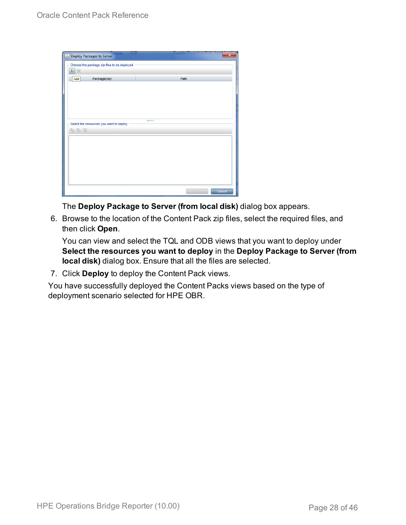| Deploy Packages to Server                   |        | ×      |
|---------------------------------------------|--------|--------|
| Choose the package zip files to be deployed |        |        |
| 中义                                          |        |        |
| Package(zip)<br>Add                         | Path   |        |
|                                             |        |        |
|                                             |        |        |
|                                             |        |        |
|                                             |        |        |
|                                             |        |        |
| Select the resources you want to deploy     |        |        |
| 名马路                                         |        |        |
|                                             |        |        |
|                                             |        |        |
|                                             |        |        |
|                                             |        |        |
|                                             |        |        |
|                                             |        |        |
|                                             |        |        |
|                                             | Deploy | Cancel |

The **Deploy Package to Server (from local disk)** dialog box appears.

6. Browse to the location of the Content Pack zip files, select the required files, and then click **Open**.

You can view and select the TQL and ODB views that you want to deploy under **Select the resources you want to deploy** in the **Deploy Package to Server (from local disk)** dialog box. Ensure that all the files are selected.

7. Click **Deploy** to deploy the Content Pack views.

You have successfully deployed the Content Packs views based on the type of deployment scenario selected for HPE OBR.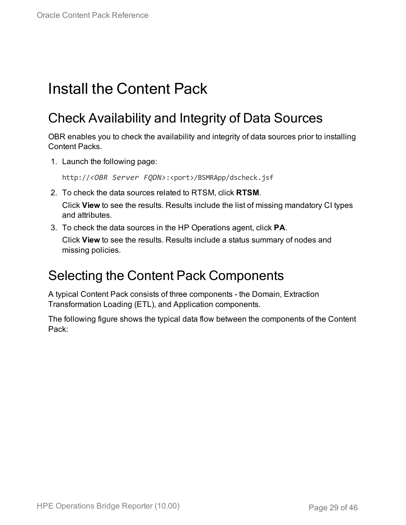# <span id="page-28-1"></span><span id="page-28-0"></span>Install the Content Pack

# Check Availability and Integrity of Data Sources

OBR enables you to check the availability and integrity of data sources prior to installing Content Packs.

1. Launch the following page:

http://*<OBR Server FQDN>*:<port>/BSMRApp/dscheck.jsf

- 2. To check the data sources related to RTSM, click **RTSM**. Click **View** to see the results. Results include the list of missing mandatory CI types and attributes.
- 3. To check the data sources in the HP Operations agent, click **PA**.

Click **View** to see the results. Results include a status summary of nodes and missing policies.

### <span id="page-28-2"></span>Selecting the Content Pack Components

A typical Content Pack consists of three components - the Domain, Extraction Transformation Loading (ETL), and Application components.

The following figure shows the typical data flow between the components of the Content Pack: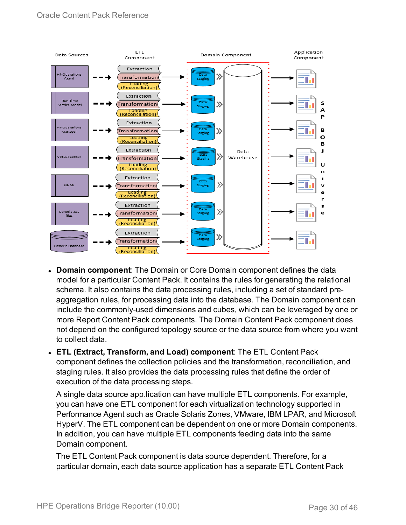

- **Domain component**: The Domain or Core Domain component defines the data model for a particular Content Pack. It contains the rules for generating the relational schema. It also contains the data processing rules, including a set of standard preaggregation rules, for processing data into the database. The Domain component can include the commonly-used dimensions and cubes, which can be leveraged by one or more Report Content Pack components. The Domain Content Pack component does not depend on the configured topology source or the data source from where you want to collect data.
- <sup>l</sup> **ETL (Extract, Transform, and Load) component**: The ETL Content Pack component defines the collection policies and the transformation, reconciliation, and staging rules. It also provides the data processing rules that define the order of execution of the data processing steps.

A single data source app.lication can have multiple ETL components. For example, you can have one ETL component for each virtualization technology supported in Performance Agent such as Oracle Solaris Zones, VMware, IBM LPAR, and Microsoft HyperV. The ETL component can be dependent on one or more Domain components. In addition, you can have multiple ETL components feeding data into the same Domain component.

The ETL Content Pack component is data source dependent. Therefore, for a particular domain, each data source application has a separate ETL Content Pack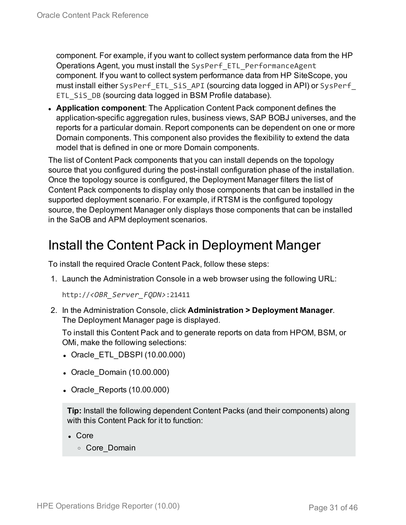component. For example, if you want to collect system performance data from the HP Operations Agent, you must install the SysPerf\_ETL\_PerformanceAgent component. If you want to collect system performance data from HP SiteScope, you must install either SysPerf\_ETL\_SiS\_API (sourcing data logged in API) or SysPerf\_ ETL SiS DB (sourcing data logged in BSM Profile database).

**Application component**: The Application Content Pack component defines the application-specific aggregation rules, business views, SAP BOBJ universes, and the reports for a particular domain. Report components can be dependent on one or more Domain components. This component also provides the flexibility to extend the data model that is defined in one or more Domain components.

The list of Content Pack components that you can install depends on the topology source that you configured during the post-install configuration phase of the installation. Once the topology source is configured, the Deployment Manager filters the list of Content Pack components to display only those components that can be installed in the supported deployment scenario. For example, if RTSM is the configured topology source, the Deployment Manager only displays those components that can be installed in the SaOB and APM deployment scenarios.

### <span id="page-30-0"></span>Install the Content Pack in Deployment Manger

To install the required Oracle Content Pack, follow these steps:

1. Launch the Administration Console in a web browser using the following URL:

http://*<OBR\_Server\_FQDN>*:21411

2. In the Administration Console, click **Administration > Deployment Manager**. The Deployment Manager page is displayed.

To install this Content Pack and to generate reports on data from HPOM, BSM, or OMi, make the following selections:

- Oracle ETL DBSPI (10.00.000)
- Oracle Domain (10.00.000)
- Oracle Reports (10.00.000)

**Tip:** Install the following dependent Content Packs (and their components) along with this Content Pack for it to function:

- Core
	- <sup>o</sup> Core\_Domain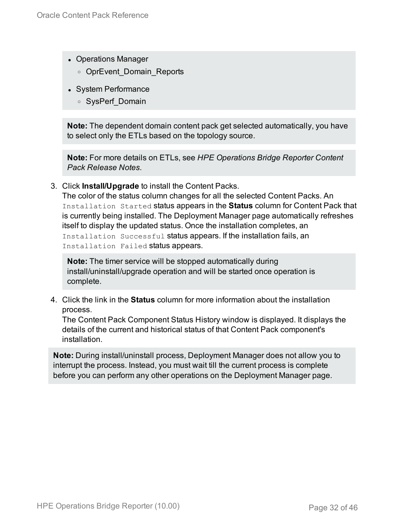- Operations Manager
	- o OprEvent Domain Reports
- System Performance
	- <sup>o</sup> SysPerf\_Domain

**Note:** The dependent domain content pack get selected automatically, you have to select only the ETLs based on the topology source.

**Note:** For more details on ETLs, see *HPE Operations Bridge Reporter Content Pack Release Notes*.

3. Click **Install/Upgrade** to install the Content Packs.

The color of the status column changes for all the selected Content Packs. An Installation Started status appears in the **Status** column for Content Pack that is currently being installed. The Deployment Manager page automatically refreshes itself to display the updated status. Once the installation completes, an Installation Successful status appears. If the installation fails, an Installation Failed status appears.

**Note:** The timer service will be stopped automatically during install/uninstall/upgrade operation and will be started once operation is complete.

4. Click the link in the **Status** column for more information about the installation process.

The Content Pack Component Status History window is displayed. It displays the details of the current and historical status of that Content Pack component's installation.

**Note:** During install/uninstall process, Deployment Manager does not allow you to interrupt the process. Instead, you must wait till the current process is complete before you can perform any other operations on the Deployment Manager page.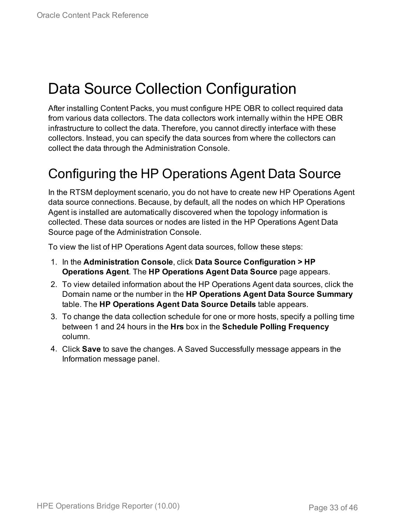# <span id="page-32-0"></span>Data Source Collection Configuration

After installing Content Packs, you must configure HPE OBR to collect required data from various data collectors. The data collectors work internally within the HPE OBR infrastructure to collect the data. Therefore, you cannot directly interface with these collectors. Instead, you can specify the data sources from where the collectors can collect the data through the Administration Console.

## <span id="page-32-1"></span>Configuring the HP Operations Agent Data Source

In the RTSM deployment scenario, you do not have to create new HP Operations Agent data source connections. Because, by default, all the nodes on which HP Operations Agent is installed are automatically discovered when the topology information is collected. These data sources or nodes are listed in the HP Operations Agent Data Source page of the Administration Console.

To view the list of HP Operations Agent data sources, follow these steps:

- 1. In the **Administration Console**, click **Data Source Configuration > HP Operations Agent**. The **HP Operations Agent Data Source** page appears.
- 2. To view detailed information about the HP Operations Agent data sources, click the Domain name or the number in the **HP Operations Agent Data Source Summary** table. The **HP Operations Agent Data Source Details** table appears.
- 3. To change the data collection schedule for one or more hosts, specify a polling time between 1 and 24 hours in the **Hrs** box in the **Schedule Polling Frequency** column.
- 4. Click **Save** to save the changes. A Saved Successfully message appears in the Information message panel.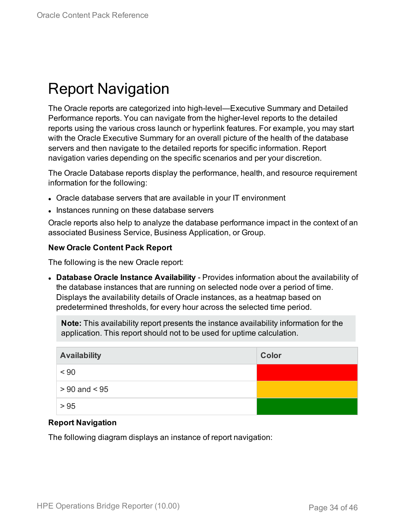# <span id="page-33-0"></span>Report Navigation

The Oracle reports are categorized into high-level—Executive Summary and Detailed Performance reports. You can navigate from the higher-level reports to the detailed reports using the various cross launch or hyperlink features. For example, you may start with the Oracle Executive Summary for an overall picture of the health of the database servers and then navigate to the detailed reports for specific information. Report navigation varies depending on the specific scenarios and per your discretion.

The Oracle Database reports display the performance, health, and resource requirement information for the following:

- Oracle database servers that are available in your IT environment
- Instances running on these database servers

Oracle reports also help to analyze the database performance impact in the context of an associated Business Service, Business Application, or Group.

#### **New Oracle Content Pack Report**

The following is the new Oracle report:

<sup>l</sup> **Database Oracle Instance Availability** - Provides information about the availability of the database instances that are running on selected node over a period of time. Displays the availability details of Oracle instances, as a heatmap based on predetermined thresholds, for every hour across the selected time period.

**Note:** This availability report presents the instance availability information for the application. This report should not to be used for uptime calculation.

| <b>Availability</b> | Color |
|---------------------|-------|
| < 90                |       |
| $> 90$ and $< 95$   |       |
| > 95                |       |

#### **Report Navigation**

The following diagram displays an instance of report navigation: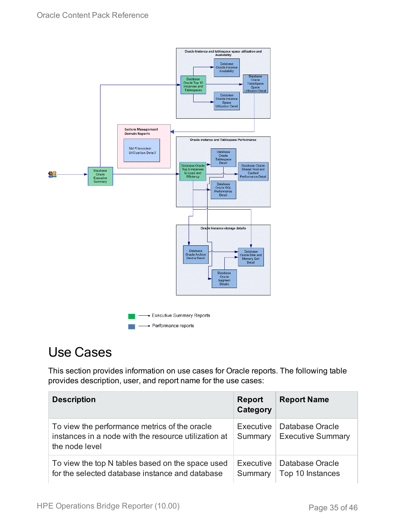

## <span id="page-34-0"></span>Use Cases

This section provides information on use cases for Oracle reports. The following table provides description, user, and report name for the use cases:

| <b>Description</b>                                                                                                      | <b>Report</b><br>Category | <b>Report Name</b>                          |
|-------------------------------------------------------------------------------------------------------------------------|---------------------------|---------------------------------------------|
| To view the performance metrics of the oracle<br>instances in a node with the resource utilization at<br>the node level | Executive<br>Summary      | Database Oracle<br><b>Executive Summary</b> |
| To view the top N tables based on the space used<br>for the selected database instance and database                     | Executive<br>Summary      | Database Oracle<br>Top 10 Instances         |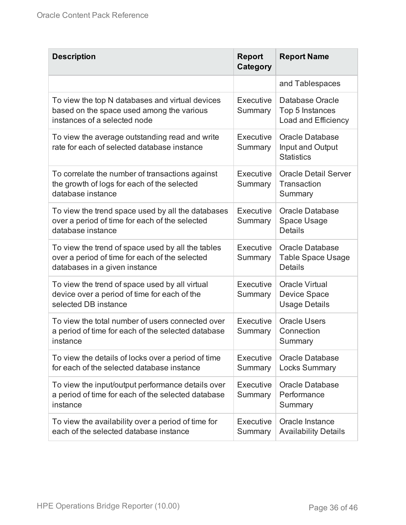| <b>Description</b>                                                                                                                   | <b>Report</b><br>Category | <b>Report Name</b>                                                   |
|--------------------------------------------------------------------------------------------------------------------------------------|---------------------------|----------------------------------------------------------------------|
|                                                                                                                                      |                           | and Tablespaces                                                      |
| To view the top N databases and virtual devices<br>based on the space used among the various<br>instances of a selected node         | Executive<br>Summary      | Database Oracle<br>Top 5 Instances<br>Load and Efficiency            |
| To view the average outstanding read and write<br>rate for each of selected database instance                                        | Executive<br>Summary      | <b>Oracle Database</b><br>Input and Output<br><b>Statistics</b>      |
| To correlate the number of transactions against<br>the growth of logs for each of the selected<br>database instance                  | Executive<br>Summary      | <b>Oracle Detail Server</b><br>Transaction<br>Summary                |
| To view the trend space used by all the databases<br>over a period of time for each of the selected<br>database instance             | Executive<br>Summary      | <b>Oracle Database</b><br>Space Usage<br><b>Details</b>              |
| To view the trend of space used by all the tables<br>over a period of time for each of the selected<br>databases in a given instance | Executive<br>Summary      | <b>Oracle Database</b><br><b>Table Space Usage</b><br><b>Details</b> |
| To view the trend of space used by all virtual<br>device over a period of time for each of the<br>selected DB instance               | Executive<br>Summary      | <b>Oracle Virtual</b><br><b>Device Space</b><br><b>Usage Details</b> |
| To view the total number of users connected over<br>a period of time for each of the selected database<br>instance                   | Executive<br>Summary      | <b>Oracle Users</b><br>Connection<br>Summary                         |
| To view the details of locks over a period of time<br>for each of the selected database instance                                     | Executive<br>Summary      | <b>Oracle Database</b><br><b>Locks Summary</b>                       |
| To view the input/output performance details over<br>a period of time for each of the selected database<br>instance                  | Executive<br>Summary      | <b>Oracle Database</b><br>Performance<br>Summary                     |
| To view the availability over a period of time for<br>each of the selected database instance                                         | Executive<br>Summary      | Oracle Instance<br><b>Availability Details</b>                       |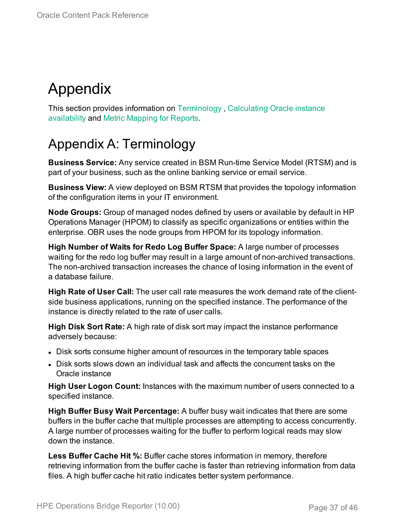# <span id="page-36-0"></span>Appendix

This section provides information on [Terminology](#page-36-1) , [Calculating](#page-42-0) Oracle instance [availability](#page-42-0) and Metric [Mapping](#page-43-0) for Reports.

## <span id="page-36-1"></span>Appendix A: Terminology

**Business Service:** Any service created in BSM Run-time Service Model (RTSM) and is part of your business, such as the online banking service or email service.

**Business View:** A view deployed on BSM RTSM that provides the topology information of the configuration items in your IT environment.

**Node Groups:** Group of managed nodes defined by users or available by default in HP Operations Manager (HPOM) to classify as specific organizations or entities within the enterprise. OBR uses the node groups from HPOM for its topology information.

**High Number of Waits for Redo Log Buffer Space:** A large number of processes waiting for the redo log buffer may result in a large amount of non-archived transactions. The non-archived transaction increases the chance of losing information in the event of a database failure.

**High Rate of User Call:** The user call rate measures the work demand rate of the clientside business applications, running on the specified instance. The performance of the instance is directly related to the rate of user calls.

**High Disk Sort Rate:** A high rate of disk sort may impact the instance performance adversely because:

- Disk sorts consume higher amount of resources in the temporary table spaces
- Disk sorts slows down an individual task and affects the concurrent tasks on the Oracle instance

**High User Logon Count:** Instances with the maximum number of users connected to a specified instance.

**High Buffer Busy Wait Percentage:** A buffer busy wait indicates that there are some buffers in the buffer cache that multiple processes are attempting to access concurrently. A large number of processes waiting for the buffer to perform logical reads may slow down the instance.

**Less Buffer Cache Hit %:** Buffer cache stores information in memory, therefore retrieving information from the buffer cache is faster than retrieving information from data files. A high buffer cache hit ratio indicates better system performance.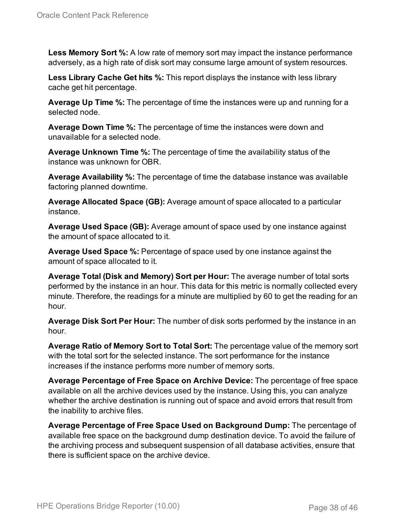**Less Memory Sort %:** A low rate of memory sort may impact the instance performance adversely, as a high rate of disk sort may consume large amount of system resources.

**Less Library Cache Get hits %:** This report displays the instance with less library cache get hit percentage.

**Average Up Time %:** The percentage of time the instances were up and running for a selected node.

**Average Down Time %:** The percentage of time the instances were down and unavailable for a selected node.

**Average Unknown Time %:** The percentage of time the availability status of the instance was unknown for OBR.

**Average Availability %:** The percentage of time the database instance was available factoring planned downtime.

**Average Allocated Space (GB):** Average amount of space allocated to a particular instance.

**Average Used Space (GB):** Average amount of space used by one instance against the amount of space allocated to it.

**Average Used Space %:** Percentage of space used by one instance against the amount of space allocated to it.

**Average Total (Disk and Memory) Sort per Hour:** The average number of total sorts performed by the instance in an hour. This data for this metric is normally collected every minute. Therefore, the readings for a minute are multiplied by 60 to get the reading for an hour.

**Average Disk Sort Per Hour:** The number of disk sorts performed by the instance in an hour.

**Average Ratio of Memory Sort to Total Sort:** The percentage value of the memory sort with the total sort for the selected instance. The sort performance for the instance increases if the instance performs more number of memory sorts.

**Average Percentage of Free Space on Archive Device:** The percentage of free space available on all the archive devices used by the instance. Using this, you can analyze whether the archive destination is running out of space and avoid errors that result from the inability to archive files.

**Average Percentage of Free Space Used on Background Dump:** The percentage of available free space on the background dump destination device. To avoid the failure of the archiving process and subsequent suspension of all database activities, ensure that there is sufficient space on the archive device.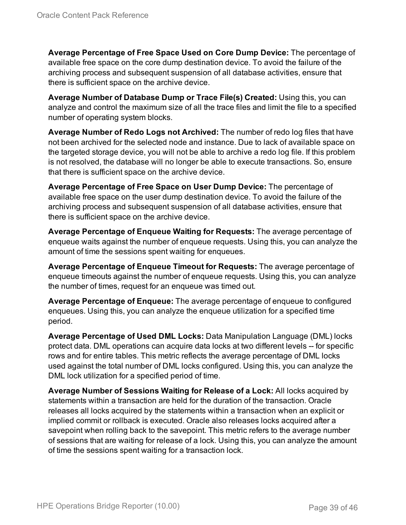**Average Percentage of Free Space Used on Core Dump Device:** The percentage of available free space on the core dump destination device. To avoid the failure of the archiving process and subsequent suspension of all database activities, ensure that there is sufficient space on the archive device.

**Average Number of Database Dump or Trace File(s) Created:** Using this, you can analyze and control the maximum size of all the trace files and limit the file to a specified number of operating system blocks.

**Average Number of Redo Logs not Archived:** The number of redo log files that have not been archived for the selected node and instance. Due to lack of available space on the targeted storage device, you will not be able to archive a redo log file. If this problem is not resolved, the database will no longer be able to execute transactions. So, ensure that there is sufficient space on the archive device.

**Average Percentage of Free Space on User Dump Device:** The percentage of available free space on the user dump destination device. To avoid the failure of the archiving process and subsequent suspension of all database activities, ensure that there is sufficient space on the archive device.

**Average Percentage of Enqueue Waiting for Requests:** The average percentage of enqueue waits against the number of enqueue requests. Using this, you can analyze the amount of time the sessions spent waiting for enqueues.

**Average Percentage of Enqueue Timeout for Requests:** The average percentage of enqueue timeouts against the number of enqueue requests. Using this, you can analyze the number of times, request for an enqueue was timed out.

**Average Percentage of Enqueue:** The average percentage of enqueue to configured enqueues. Using this, you can analyze the enqueue utilization for a specified time period.

**Average Percentage of Used DML Locks:** Data Manipulation Language (DML) locks protect data. DML operations can acquire data locks at two different levels -- for specific rows and for entire tables. This metric reflects the average percentage of DML locks used against the total number of DML locks configured. Using this, you can analyze the DML lock utilization for a specified period of time.

**Average Number of Sessions Waiting for Release of a Lock:** All locks acquired by statements within a transaction are held for the duration of the transaction. Oracle releases all locks acquired by the statements within a transaction when an explicit or implied commit or rollback is executed. Oracle also releases locks acquired after a savepoint when rolling back to the savepoint. This metric refers to the average number of sessions that are waiting for release of a lock. Using this, you can analyze the amount of time the sessions spent waiting for a transaction lock.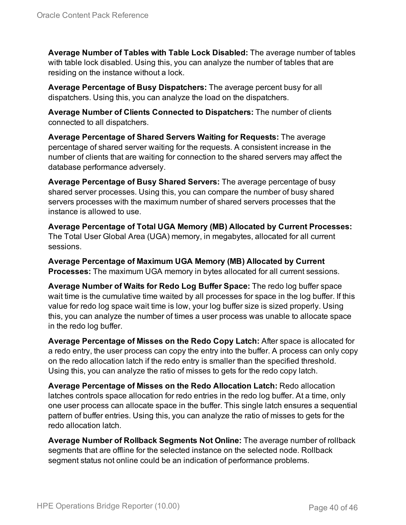**Average Number of Tables with Table Lock Disabled:** The average number of tables with table lock disabled. Using this, you can analyze the number of tables that are residing on the instance without a lock.

**Average Percentage of Busy Dispatchers:** The average percent busy for all dispatchers. Using this, you can analyze the load on the dispatchers.

**Average Number of Clients Connected to Dispatchers:** The number of clients connected to all dispatchers.

**Average Percentage of Shared Servers Waiting for Requests:** The average percentage of shared server waiting for the requests. A consistent increase in the number of clients that are waiting for connection to the shared servers may affect the database performance adversely.

**Average Percentage of Busy Shared Servers:** The average percentage of busy shared server processes. Using this, you can compare the number of busy shared servers processes with the maximum number of shared servers processes that the instance is allowed to use.

**Average Percentage of Total UGA Memory (MB) Allocated by Current Processes:** The Total User Global Area (UGA) memory, in megabytes, allocated for all current sessions.

**Average Percentage of Maximum UGA Memory (MB) Allocated by Current Processes:** The maximum UGA memory in bytes allocated for all current sessions.

**Average Number of Waits for Redo Log Buffer Space:** The redo log buffer space wait time is the cumulative time waited by all processes for space in the log buffer. If this value for redo log space wait time is low, your log buffer size is sized properly. Using this, you can analyze the number of times a user process was unable to allocate space in the redo log buffer.

**Average Percentage of Misses on the Redo Copy Latch:** After space is allocated for a redo entry, the user process can copy the entry into the buffer. A process can only copy on the redo allocation latch if the redo entry is smaller than the specified threshold. Using this, you can analyze the ratio of misses to gets for the redo copy latch.

**Average Percentage of Misses on the Redo Allocation Latch:** Redo allocation latches controls space allocation for redo entries in the redo log buffer. At a time, only one user process can allocate space in the buffer. This single latch ensures a sequential pattern of buffer entries. Using this, you can analyze the ratio of misses to gets for the redo allocation latch.

**Average Number of Rollback Segments Not Online:** The average number of rollback segments that are offline for the selected instance on the selected node. Rollback segment status not online could be an indication of performance problems.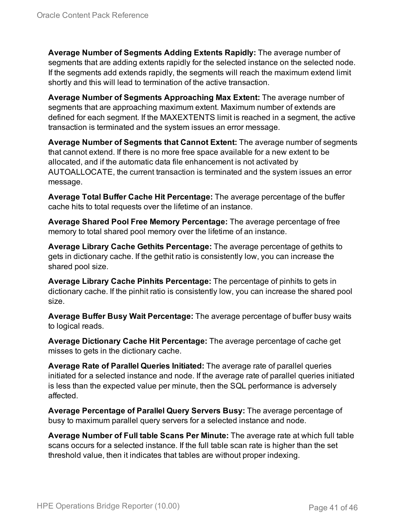**Average Number of Segments Adding Extents Rapidly:** The average number of segments that are adding extents rapidly for the selected instance on the selected node. If the segments add extends rapidly, the segments will reach the maximum extend limit shortly and this will lead to termination of the active transaction.

**Average Number of Segments Approaching Max Extent:** The average number of segments that are approaching maximum extent. Maximum number of extends are defined for each segment. If the MAXEXTENTS limit is reached in a segment, the active transaction is terminated and the system issues an error message.

**Average Number of Segments that Cannot Extent:** The average number of segments that cannot extend. If there is no more free space available for a new extent to be allocated, and if the automatic data file enhancement is not activated by AUTOALLOCATE, the current transaction is terminated and the system issues an error message.

**Average Total Buffer Cache Hit Percentage:** The average percentage of the buffer cache hits to total requests over the lifetime of an instance.

**Average Shared Pool Free Memory Percentage:** The average percentage of free memory to total shared pool memory over the lifetime of an instance.

**Average Library Cache Gethits Percentage:** The average percentage of gethits to gets in dictionary cache. If the gethit ratio is consistently low, you can increase the shared pool size.

**Average Library Cache Pinhits Percentage:** The percentage of pinhits to gets in dictionary cache. If the pinhit ratio is consistently low, you can increase the shared pool size.

**Average Buffer Busy Wait Percentage:** The average percentage of buffer busy waits to logical reads.

**Average Dictionary Cache Hit Percentage:** The average percentage of cache get misses to gets in the dictionary cache.

**Average Rate of Parallel Queries Initiated:** The average rate of parallel queries initiated for a selected instance and node. If the average rate of parallel queries initiated is less than the expected value per minute, then the SQL performance is adversely affected.

**Average Percentage of Parallel Query Servers Busy:** The average percentage of busy to maximum parallel query servers for a selected instance and node.

**Average Number of Full table Scans Per Minute:** The average rate at which full table scans occurs for a selected instance. If the full table scan rate is higher than the set threshold value, then it indicates that tables are without proper indexing.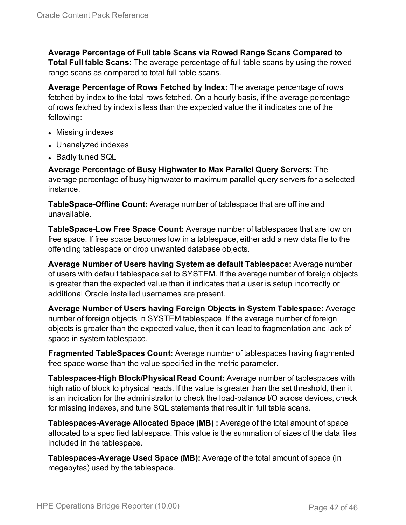**Average Percentage of Full table Scans via Rowed Range Scans Compared to Total Full table Scans:** The average percentage of full table scans by using the rowed range scans as compared to total full table scans.

**Average Percentage of Rows Fetched by Index:** The average percentage of rows fetched by index to the total rows fetched. On a hourly basis, if the average percentage of rows fetched by index is less than the expected value the it indicates one of the following:

- Missing indexes
- Unanalyzed indexes
- Badly tuned SQL

**Average Percentage of Busy Highwater to Max Parallel Query Servers:** The average percentage of busy highwater to maximum parallel query servers for a selected instance.

**TableSpace-Offline Count:** Average number of tablespace that are offline and unavailable.

**TableSpace-Low Free Space Count:** Average number of tablespaces that are low on free space. If free space becomes low in a tablespace, either add a new data file to the offending tablespace or drop unwanted database objects.

**Average Number of Users having System as default Tablespace:** Average number of users with default tablespace set to SYSTEM. If the average number of foreign objects is greater than the expected value then it indicates that a user is setup incorrectly or additional Oracle installed usernames are present.

**Average Number of Users having Foreign Objects in System Tablespace:** Average number of foreign objects in SYSTEM tablespace. If the average number of foreign objects is greater than the expected value, then it can lead to fragmentation and lack of space in system tablespace.

**Fragmented TableSpaces Count:** Average number of tablespaces having fragmented free space worse than the value specified in the metric parameter.

**Tablespaces-High Block/Physical Read Count:** Average number of tablespaces with high ratio of block to physical reads. If the value is greater than the set threshold, then it is an indication for the administrator to check the load-balance I/O across devices, check for missing indexes, and tune SQL statements that result in full table scans.

**Tablespaces-Average Allocated Space (MB) :** Average of the total amount of space allocated to a specified tablespace. This value is the summation of sizes of the data files included in the tablespace.

**Tablespaces-Average Used Space (MB):** Average of the total amount of space (in megabytes) used by the tablespace.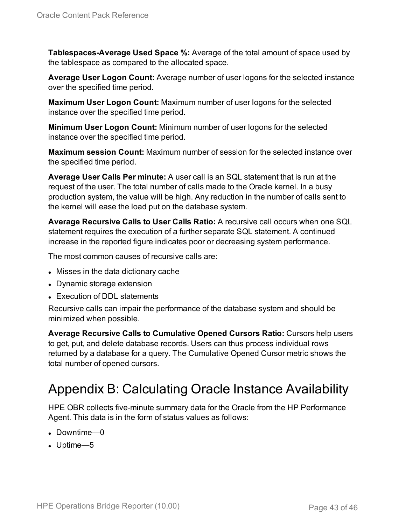**Tablespaces-Average Used Space %:** Average of the total amount of space used by the tablespace as compared to the allocated space.

**Average User Logon Count:** Average number of user logons for the selected instance over the specified time period.

**Maximum User Logon Count:** Maximum number of user logons for the selected instance over the specified time period.

**Minimum User Logon Count:** Minimum number of user logons for the selected instance over the specified time period.

**Maximum session Count:** Maximum number of session for the selected instance over the specified time period.

**Average User Calls Per minute:** A user call is an SQL statement that is run at the request of the user. The total number of calls made to the Oracle kernel. In a busy production system, the value will be high. Any reduction in the number of calls sent to the kernel will ease the load put on the database system.

**Average Recursive Calls to User Calls Ratio:** A recursive call occurs when one SQL statement requires the execution of a further separate SQL statement. A continued increase in the reported figure indicates poor or decreasing system performance.

The most common causes of recursive calls are:

- Misses in the data dictionary cache
- Dynamic storage extension
- Execution of DDL statements

Recursive calls can impair the performance of the database system and should be minimized when possible.

**Average Recursive Calls to Cumulative Opened Cursors Ratio:** Cursors help users to get, put, and delete database records. Users can thus process individual rows returned by a database for a query. The Cumulative Opened Cursor metric shows the total number of opened cursors.

## <span id="page-42-0"></span>Appendix B: Calculating Oracle Instance Availability

HPE OBR collects five-minute summary data for the Oracle from the HP Performance Agent. This data is in the form of status values as follows:

- $\bullet$  Downtime—0
- $\bullet$  Uptime—5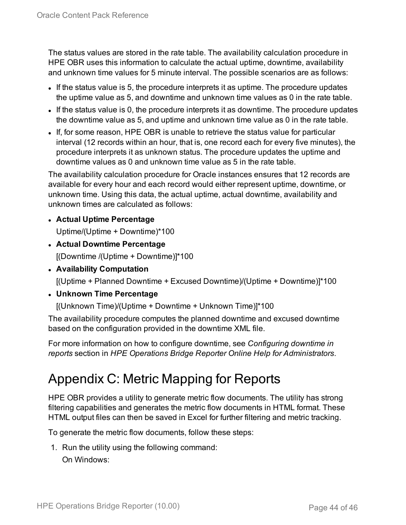The status values are stored in the rate table. The availability calculation procedure in HPE OBR uses this information to calculate the actual uptime, downtime, availability and unknown time values for 5 minute interval. The possible scenarios are as follows:

- If the status value is 5, the procedure interprets it as uptime. The procedure updates the uptime value as 5, and downtime and unknown time values as 0 in the rate table.
- If the status value is 0, the procedure interprets it as downtime. The procedure updates the downtime value as 5, and uptime and unknown time value as 0 in the rate table.
- If, for some reason, HPE OBR is unable to retrieve the status value for particular interval (12 records within an hour, that is, one record each for every five minutes), the procedure interprets it as unknown status. The procedure updates the uptime and downtime values as 0 and unknown time value as 5 in the rate table.

The availability calculation procedure for Oracle instances ensures that 12 records are available for every hour and each record would either represent uptime, downtime, or unknown time. Using this data, the actual uptime, actual downtime, availability and unknown times are calculated as follows:

- <sup>l</sup> **Actual Uptime Percentage** Uptime/(Uptime + Downtime)\*100
- <sup>l</sup> **Actual Downtime Percentage** [(Downtime /(Uptime + Downtime)]\*100
- <sup>l</sup> **Availability Computation**

[(Uptime + Planned Downtime + Excused Downtime)/(Uptime + Downtime)]\*100

<sup>l</sup> **Unknown Time Percentage**

[(Unknown Time)/(Uptime + Downtime + Unknown Time)]\*100

The availability procedure computes the planned downtime and excused downtime based on the configuration provided in the downtime XML file.

For more information on how to configure downtime, see *Configuring downtime in reports* section in *HPE Operations Bridge Reporter Online Help for Administrators*.

# <span id="page-43-0"></span>Appendix C: Metric Mapping for Reports

HPE OBR provides a utility to generate metric flow documents. The utility has strong filtering capabilities and generates the metric flow documents in HTML format. These HTML output files can then be saved in Excel for further filtering and metric tracking.

To generate the metric flow documents, follow these steps:

1. Run the utility using the following command: On Windows: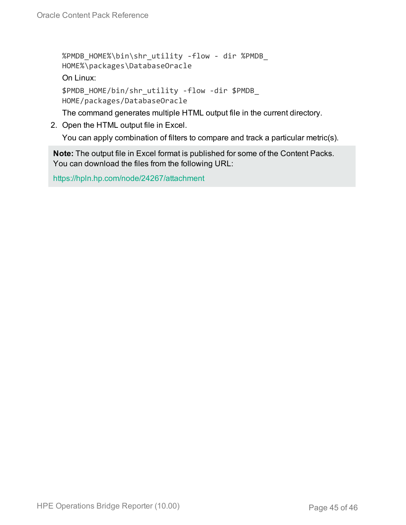```
%PMDB_HOME%\bin\shr_utility -flow - dir %PMDB_
HOME%\packages\DatabaseOracle
On Linux:
$PMDB_HOME/bin/shr_utility -flow -dir $PMDB_
HOME/packages/DatabaseOracle
```
The command generates multiple HTML output file in the current directory.

2. Open the HTML output file in Excel.

You can apply combination of filters to compare and track a particular metric(s).

**Note:** The output file in Excel format is published for some of the Content Packs. You can download the files from the following URL:

<https://hpln.hp.com/node/24267/attachment>